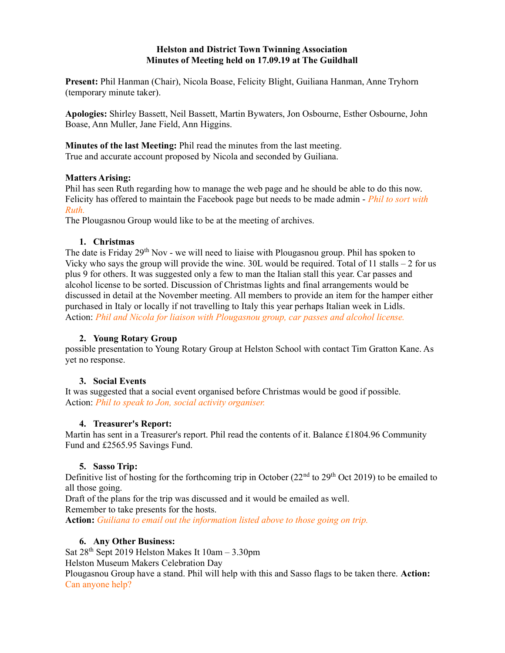## Helston and District Town Twinning Association Minutes of Meeting held on 17.09.19 at The Guildhall

Present: Phil Hanman (Chair), Nicola Boase, Felicity Blight, Guiliana Hanman, Anne Tryhorn (temporary minute taker).

Apologies: Shirley Bassett, Neil Bassett, Martin Bywaters, Jon Osbourne, Esther Osbourne, John Boase, Ann Muller, Jane Field, Ann Higgins.

Minutes of the last Meeting: Phil read the minutes from the last meeting. True and accurate account proposed by Nicola and seconded by Guiliana.

## Matters Arising:

Phil has seen Ruth regarding how to manage the web page and he should be able to do this now. Felicity has offered to maintain the Facebook page but needs to be made admin - *Phil to sort with* Ruth.

The Plougasnou Group would like to be at the meeting of archives.

## 1. Christmas

The date is Friday 29<sup>th</sup> Nov - we will need to liaise with Plougasnou group. Phil has spoken to Vicky who says the group will provide the wine.  $30L$  would be required. Total of 11 stalls  $-2$  for us plus 9 for others. It was suggested only a few to man the Italian stall this year. Car passes and alcohol license to be sorted. Discussion of Christmas lights and final arrangements would be discussed in detail at the November meeting. All members to provide an item for the hamper either purchased in Italy or locally if not travelling to Italy this year perhaps Italian week in Lidls. Action: Phil and Nicola for liaison with Plougasnou group, car passes and alcohol license.

# 2. Young Rotary Group

possible presentation to Young Rotary Group at Helston School with contact Tim Gratton Kane. As yet no response.

# 3. Social Events

It was suggested that a social event organised before Christmas would be good if possible. Action: Phil to speak to Jon, social activity organiser.

#### 4. Treasurer's Report:

Martin has sent in a Treasurer's report. Phil read the contents of it. Balance £1804.96 Community Fund and £2565.95 Savings Fund.

# 5. Sasso Trip:

Definitive list of hosting for the forthcoming trip in October  $(22<sup>nd</sup>$  to  $29<sup>th</sup>$  Oct 2019) to be emailed to all those going.

Draft of the plans for the trip was discussed and it would be emailed as well.

Remember to take presents for the hosts.

Action: Guiliana to email out the information listed above to those going on trip.

# 6. Any Other Business:

Sat  $28^{th}$  Sept 2019 Helston Makes It  $10am - 3.30pm$ Helston Museum Makers Celebration Day Plougasnou Group have a stand. Phil will help with this and Sasso flags to be taken there. Action: Can anyone help?